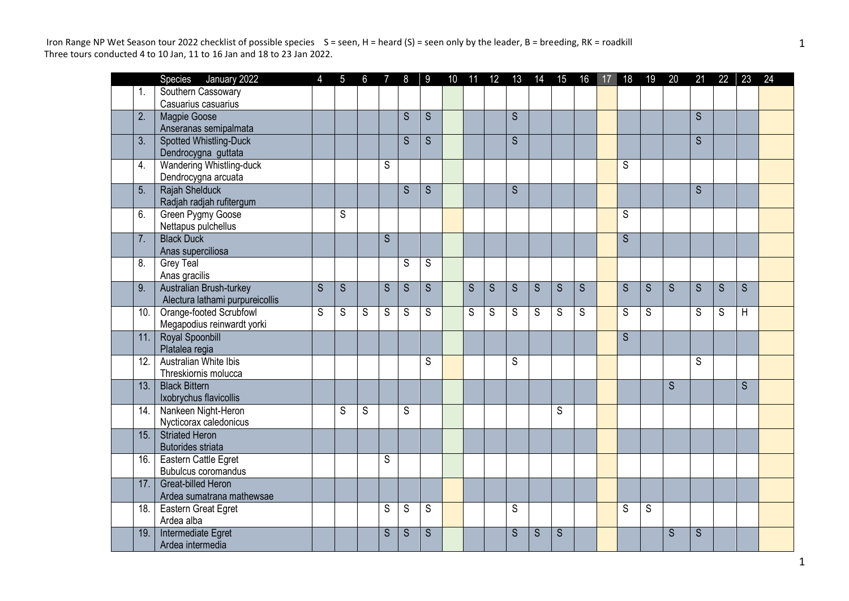|      | Species January 2022                            | $\overline{4}$          |                |   |                |   |                |                |                |                |                         | 5 6 7 8 9 10 11 12 13 14 15 16 17 18 19 20 |                |                |                |             |                | 21  22  23     |              | 24 |
|------|-------------------------------------------------|-------------------------|----------------|---|----------------|---|----------------|----------------|----------------|----------------|-------------------------|--------------------------------------------|----------------|----------------|----------------|-------------|----------------|----------------|--------------|----|
| 1.   | Southern Cassowary                              |                         |                |   |                |   |                |                |                |                |                         |                                            |                |                |                |             |                |                |              |    |
|      | Casuarius casuarius                             |                         |                |   |                |   |                |                |                |                |                         |                                            |                |                |                |             |                |                |              |    |
| 2.   | Magpie Goose                                    |                         |                |   |                | S | S              |                |                | S              |                         |                                            |                |                |                |             | S              |                |              |    |
|      | Anseranas semipalmata                           |                         |                |   |                |   |                |                |                |                |                         |                                            |                |                |                |             |                |                |              |    |
| 3.   | Spotted Whistling-Duck                          |                         |                |   |                | S | S              |                |                | $\overline{S}$ |                         |                                            |                |                |                |             | $\overline{S}$ |                |              |    |
|      | Dendrocygna guttata                             |                         |                |   |                |   |                |                |                |                |                         |                                            |                |                |                |             |                |                |              |    |
| 4.   | <b>Wandering Whistling-duck</b>                 |                         |                |   | S              |   |                |                |                |                |                         |                                            |                | S              |                |             |                |                |              |    |
|      | Dendrocygna arcuata                             |                         |                |   |                |   |                |                |                |                |                         |                                            |                |                |                |             |                |                |              |    |
| 5.   | Rajah Shelduck                                  |                         |                |   |                | S | S              |                |                | $\overline{S}$ |                         |                                            |                |                |                |             | S              |                |              |    |
|      | Radjah radjah rufitergum                        |                         |                |   |                |   |                |                |                |                |                         |                                            |                |                |                |             |                |                |              |    |
| 6.   | Green Pygmy Goose                               |                         | S              |   |                |   |                |                |                |                |                         |                                            |                | S              |                |             |                |                |              |    |
|      | Nettapus pulchellus                             |                         |                |   |                |   |                |                |                |                |                         |                                            |                |                |                |             |                |                |              |    |
| 7.   | <b>Black Duck</b>                               |                         |                |   | $\overline{S}$ |   |                |                |                |                |                         |                                            |                | $\overline{S}$ |                |             |                |                |              |    |
|      | Anas superciliosa                               |                         |                |   |                |   |                |                |                |                |                         |                                            |                |                |                |             |                |                |              |    |
| 8.   | <b>Grey Teal</b>                                |                         |                |   |                | S | S              |                |                |                |                         |                                            |                |                |                |             |                |                |              |    |
|      | Anas gracilis                                   |                         |                |   |                |   |                |                |                |                |                         |                                            |                |                |                |             |                |                |              |    |
| 9.   | Australian Brush-turkey                         | $\overline{\mathsf{s}}$ | $\overline{S}$ |   | $\overline{S}$ | S | $\overline{S}$ | $\overline{S}$ | $\overline{S}$ | $\overline{s}$ | $\overline{\mathsf{s}}$ | $\overline{S}$                             | $\overline{S}$ | $\overline{S}$ | $\overline{S}$ | $\mathsf S$ | S              | $\overline{S}$ | S            |    |
|      | Alectura lathami purpureicollis                 |                         |                |   |                |   |                |                |                |                |                         |                                            |                |                |                |             |                |                |              |    |
| 10.  | Orange-footed Scrubfowl                         | S                       | S              | S | S              | S | S              | S              | $\mathsf S$    | S              | S                       | S                                          | S              | S              | S              |             | S              | S              | $\mathsf{H}$ |    |
|      | Megapodius reinwardt yorki                      |                         |                |   |                |   |                |                |                |                |                         |                                            |                |                |                |             |                |                |              |    |
| 11.  | Royal Spoonbill                                 |                         |                |   |                |   |                |                |                |                |                         |                                            |                | $\overline{S}$ |                |             |                |                |              |    |
|      | Platalea regia                                  |                         |                |   |                |   |                |                |                |                |                         |                                            |                |                |                |             |                |                |              |    |
| 12.  | Australian White Ibis                           |                         |                |   |                |   | S              |                |                | S              |                         |                                            |                |                |                |             | S              |                |              |    |
|      | Threskiornis molucca                            |                         |                |   |                |   |                |                |                |                |                         |                                            |                |                |                |             |                |                |              |    |
| 13.  | <b>Black Bittern</b>                            |                         |                |   |                |   |                |                |                |                |                         |                                            |                |                |                | S.          |                |                | $\mathsf{S}$ |    |
|      | Ixobrychus flavicollis                          |                         |                |   |                |   |                |                |                |                |                         |                                            |                |                |                |             |                |                |              |    |
| 14.  | Nankeen Night-Heron                             |                         | S              | S |                | S |                |                |                |                |                         | S                                          |                |                |                |             |                |                |              |    |
| 15.  | Nycticorax caledonicus<br><b>Striated Heron</b> |                         |                |   |                |   |                |                |                |                |                         |                                            |                |                |                |             |                |                |              |    |
|      | <b>Butorides striata</b>                        |                         |                |   |                |   |                |                |                |                |                         |                                            |                |                |                |             |                |                |              |    |
| 16.  | Eastern Cattle Egret                            |                         |                |   | S              |   |                |                |                |                |                         |                                            |                |                |                |             |                |                |              |    |
|      | <b>Bubulcus coromandus</b>                      |                         |                |   |                |   |                |                |                |                |                         |                                            |                |                |                |             |                |                |              |    |
| 17.  | <b>Great-billed Heron</b>                       |                         |                |   |                |   |                |                |                |                |                         |                                            |                |                |                |             |                |                |              |    |
|      | Ardea sumatrana mathewsae                       |                         |                |   |                |   |                |                |                |                |                         |                                            |                |                |                |             |                |                |              |    |
| 18.  | Eastern Great Egret                             |                         |                |   | S              | S | S              |                |                | $\mathsf S$    |                         |                                            |                | S              | $\overline{s}$ |             |                |                |              |    |
|      | Ardea alba                                      |                         |                |   |                |   |                |                |                |                |                         |                                            |                |                |                |             |                |                |              |    |
| 19.1 | Intermediate Egret                              |                         |                |   | S              | S | S              |                |                | S              | S                       | S                                          |                |                |                | S           | S              |                |              |    |
|      | Ardea intermedia                                |                         |                |   |                |   |                |                |                |                |                         |                                            |                |                |                |             |                |                |              |    |
|      |                                                 |                         |                |   |                |   |                |                |                |                |                         |                                            |                |                |                |             |                |                |              |    |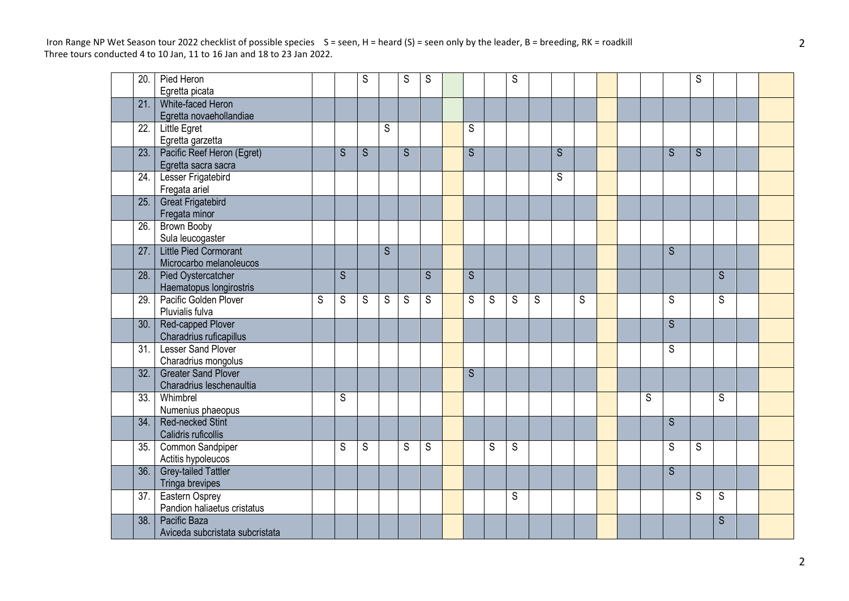| 20.  | Pied Heron                      |   |   | S |                | S | S |   |   | S |   |   |   |  |   |    | S |   |  |
|------|---------------------------------|---|---|---|----------------|---|---|---|---|---|---|---|---|--|---|----|---|---|--|
|      | Egretta picata                  |   |   |   |                |   |   |   |   |   |   |   |   |  |   |    |   |   |  |
| 21.  | White-faced Heron               |   |   |   |                |   |   |   |   |   |   |   |   |  |   |    |   |   |  |
|      | Egretta novaehollandiae         |   |   |   |                |   |   |   |   |   |   |   |   |  |   |    |   |   |  |
| 22.  | Little Egret                    |   |   |   | $\overline{S}$ |   |   | S |   |   |   |   |   |  |   |    |   |   |  |
|      | Egretta garzetta                |   |   |   |                |   |   |   |   |   |   |   |   |  |   |    |   |   |  |
| 23.1 | Pacific Reef Heron (Egret)      |   | S | S |                | S |   | S |   |   |   | S |   |  |   | S  | S |   |  |
|      | Egretta sacra sacra             |   |   |   |                |   |   |   |   |   |   |   |   |  |   |    |   |   |  |
| 24.  | <b>Lesser Frigatebird</b>       |   |   |   |                |   |   |   |   |   |   | S |   |  |   |    |   |   |  |
|      | Fregata ariel                   |   |   |   |                |   |   |   |   |   |   |   |   |  |   |    |   |   |  |
| 25.  | <b>Great Frigatebird</b>        |   |   |   |                |   |   |   |   |   |   |   |   |  |   |    |   |   |  |
|      | Fregata minor                   |   |   |   |                |   |   |   |   |   |   |   |   |  |   |    |   |   |  |
| 26.  | <b>Brown Booby</b>              |   |   |   |                |   |   |   |   |   |   |   |   |  |   |    |   |   |  |
|      | Sula leucogaster                |   |   |   |                |   |   |   |   |   |   |   |   |  |   |    |   |   |  |
| 27.  | <b>Little Pied Cormorant</b>    |   |   |   | S              |   |   |   |   |   |   |   |   |  |   | S. |   |   |  |
|      | Microcarbo melanoleucos         |   |   |   |                |   |   |   |   |   |   |   |   |  |   |    |   |   |  |
| 28.  | <b>Pied Oystercatcher</b>       |   | S |   |                |   | S | S |   |   |   |   |   |  |   |    |   | S |  |
|      | Haematopus longirostris         |   |   |   |                |   |   |   |   |   |   |   |   |  |   |    |   |   |  |
| 29.  | Pacific Golden Plover           | S | S | S | S              | S | S | S | S | S | S |   | S |  |   | S  |   | S |  |
|      | Pluvialis fulva                 |   |   |   |                |   |   |   |   |   |   |   |   |  |   |    |   |   |  |
| 30.  | Red-capped Plover               |   |   |   |                |   |   |   |   |   |   |   |   |  |   | S  |   |   |  |
|      | Charadrius ruficapillus         |   |   |   |                |   |   |   |   |   |   |   |   |  |   |    |   |   |  |
| 31.  | <b>Lesser Sand Plover</b>       |   |   |   |                |   |   |   |   |   |   |   |   |  |   | S  |   |   |  |
|      | Charadrius mongolus             |   |   |   |                |   |   |   |   |   |   |   |   |  |   |    |   |   |  |
| 32.  | <b>Greater Sand Plover</b>      |   |   |   |                |   |   | S |   |   |   |   |   |  |   |    |   |   |  |
|      | Charadrius leschenaultia        |   |   |   |                |   |   |   |   |   |   |   |   |  |   |    |   |   |  |
| 33.  | Whimbrel                        |   | S |   |                |   |   |   |   |   |   |   |   |  | S |    |   | S |  |
|      | Numenius phaeopus               |   |   |   |                |   |   |   |   |   |   |   |   |  |   |    |   |   |  |
| 34.  | <b>Red-necked Stint</b>         |   |   |   |                |   |   |   |   |   |   |   |   |  |   | S  |   |   |  |
|      | Calidris ruficollis             |   |   |   |                |   |   |   |   |   |   |   |   |  |   |    |   |   |  |
| 35.  | Common Sandpiper                |   | S | S |                | S | S |   | S | S |   |   |   |  |   | S  | S |   |  |
|      | Actitis hypoleucos              |   |   |   |                |   |   |   |   |   |   |   |   |  |   |    |   |   |  |
| 36.  | <b>Grey-tailed Tattler</b>      |   |   |   |                |   |   |   |   |   |   |   |   |  |   | S  |   |   |  |
|      | Tringa brevipes                 |   |   |   |                |   |   |   |   |   |   |   |   |  |   |    |   |   |  |
| 37.  | Eastern Osprey                  |   |   |   |                |   |   |   |   | S |   |   |   |  |   |    | S | S |  |
|      | Pandion haliaetus cristatus     |   |   |   |                |   |   |   |   |   |   |   |   |  |   |    |   |   |  |
| 38.  | Pacific Baza                    |   |   |   |                |   |   |   |   |   |   |   |   |  |   |    |   | S |  |
|      | Aviceda subcristata subcristata |   |   |   |                |   |   |   |   |   |   |   |   |  |   |    |   |   |  |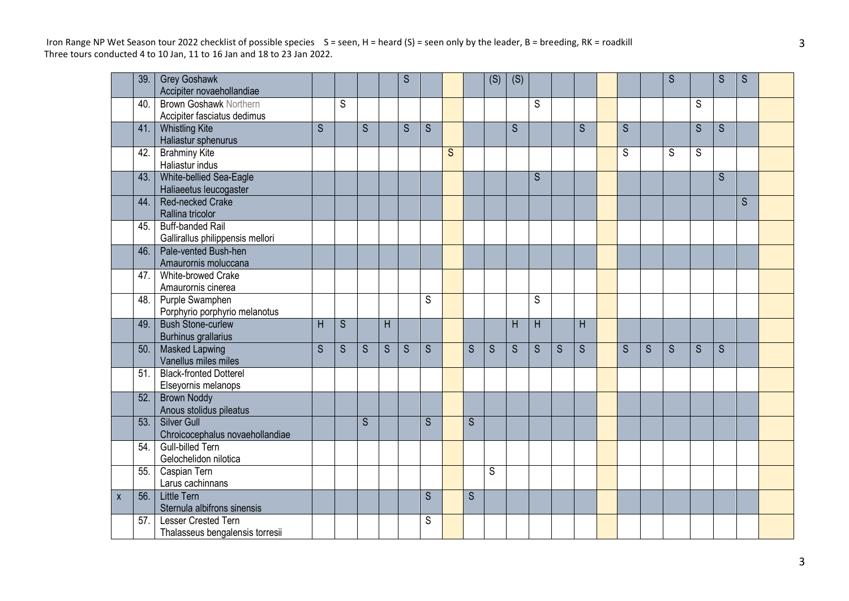|   | 39. | <b>Grey Goshawk</b><br>Accipiter novaehollandiae             |                |   |                         |                | S |                |   |                | (S) | (S) |   |   |                |   |   | S |   | S | S |  |
|---|-----|--------------------------------------------------------------|----------------|---|-------------------------|----------------|---|----------------|---|----------------|-----|-----|---|---|----------------|---|---|---|---|---|---|--|
|   | 40. | <b>Brown Goshawk Northern</b><br>Accipiter fasciatus dedimus |                | S |                         |                |   |                |   |                |     |     | S |   |                |   |   |   | S |   |   |  |
|   | 41. | <b>Whistling Kite</b><br>Haliastur sphenurus                 | $\overline{S}$ |   | $\overline{\mathsf{S}}$ |                | S | S              |   |                |     | S   |   |   | $\overline{S}$ | S |   |   | S | S |   |  |
|   | 42. | <b>Brahminy Kite</b><br>Haliastur indus                      |                |   |                         |                |   |                | S |                |     |     |   |   |                | S |   | S | S |   |   |  |
|   | 43. | White-bellied Sea-Eagle<br>Haliaeetus leucogaster            |                |   |                         |                |   |                |   |                |     |     | S |   |                |   |   |   |   | S |   |  |
|   | 44. | Red-necked Crake<br>Rallina tricolor                         |                |   |                         |                |   |                |   |                |     |     |   |   |                |   |   |   |   |   | S |  |
|   | 45. | <b>Buff-banded Rail</b><br>Gallirallus philippensis mellori  |                |   |                         |                |   |                |   |                |     |     |   |   |                |   |   |   |   |   |   |  |
|   | 46. | Pale-vented Bush-hen<br>Amaurornis moluccana                 |                |   |                         |                |   |                |   |                |     |     |   |   |                |   |   |   |   |   |   |  |
|   | 47. | White-browed Crake<br>Amaurornis cinerea                     |                |   |                         |                |   |                |   |                |     |     |   |   |                |   |   |   |   |   |   |  |
|   | 48. | Purple Swamphen<br>Porphyrio porphyrio melanotus             |                |   |                         |                |   | S              |   |                |     |     | S |   |                |   |   |   |   |   |   |  |
|   | 49. | <b>Bush Stone-curlew</b><br><b>Burhinus grallarius</b>       | H              | S |                         | H              |   |                |   |                |     | H   | H |   | H              |   |   |   |   |   |   |  |
|   | 50. | <b>Masked Lapwing</b><br>Vanellus miles miles                | S              | S | S                       | $\overline{S}$ | S | $\overline{S}$ |   | $\overline{S}$ | S   | S   | S | S | $\overline{S}$ | S | S | S | S | S |   |  |
|   | 51. | <b>Black-fronted Dotterel</b><br>Elseyornis melanops         |                |   |                         |                |   |                |   |                |     |     |   |   |                |   |   |   |   |   |   |  |
|   | 52. | <b>Brown Noddy</b><br>Anous stolidus pileatus                |                |   |                         |                |   |                |   |                |     |     |   |   |                |   |   |   |   |   |   |  |
|   | 53. | <b>Silver Gull</b><br>Chroicocephalus novaehollandiae        |                |   | S                       |                |   | S              |   | $\overline{S}$ |     |     |   |   |                |   |   |   |   |   |   |  |
|   | 54. | <b>Gull-billed Tern</b><br>Gelochelidon nilotica             |                |   |                         |                |   |                |   |                |     |     |   |   |                |   |   |   |   |   |   |  |
|   | 55. | Caspian Tern<br>Larus cachinnans                             |                |   |                         |                |   |                |   |                | S.  |     |   |   |                |   |   |   |   |   |   |  |
| X | 56. | Little Tern<br>Sternula albifrons sinensis                   |                |   |                         |                |   | S              |   | $\mathsf{S}$   |     |     |   |   |                |   |   |   |   |   |   |  |
|   | 57. | Lesser Crested Tern<br>Thalasseus bengalensis torresii       |                |   |                         |                |   | S              |   |                |     |     |   |   |                |   |   |   |   |   |   |  |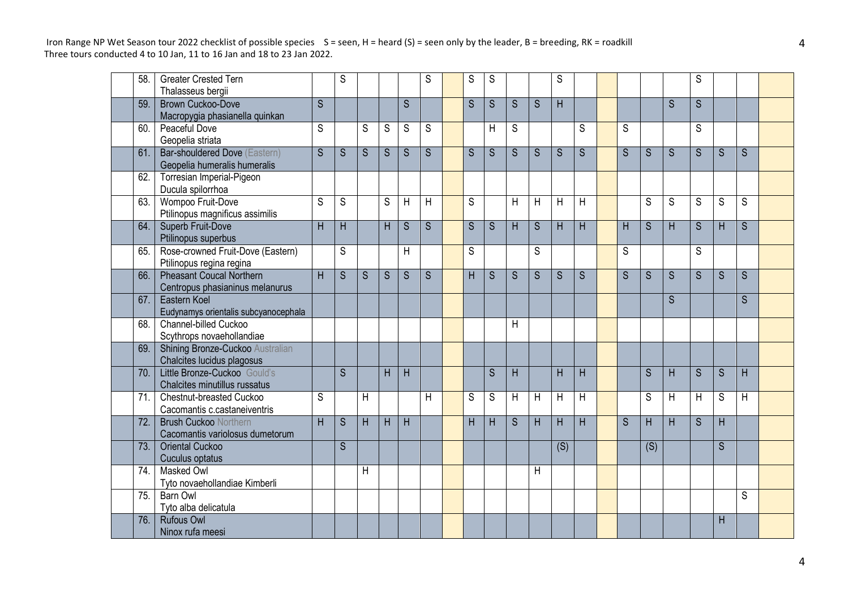| 58. | <b>Greater Crested Tern</b>                                |                         | S              |                |   |                | S              | S              | S              |                |                | S              |                |   |                |              | S              |                         |   |  |
|-----|------------------------------------------------------------|-------------------------|----------------|----------------|---|----------------|----------------|----------------|----------------|----------------|----------------|----------------|----------------|---|----------------|--------------|----------------|-------------------------|---|--|
|     | Thalasseus bergii                                          |                         |                |                |   |                |                |                |                |                |                |                |                |   |                |              |                |                         |   |  |
| 59. | Brown Cuckoo-Dove                                          | $\overline{\mathsf{S}}$ |                |                |   | S              |                | S              | S              | S              | S              | H              |                |   |                | S            | $\overline{S}$ |                         |   |  |
|     | Macropygia phasianella quinkan                             |                         |                |                |   |                |                |                |                |                |                |                |                |   |                |              |                |                         |   |  |
| 60. | Peaceful Dove                                              | S                       |                | S              | S | S              | S              |                | H              | S              |                |                | S              | S |                |              | S              |                         |   |  |
|     | Geopelia striata                                           |                         |                |                |   |                |                |                |                |                |                |                |                |   |                |              |                |                         |   |  |
| 61. | Bar-shouldered Dove (Eastern)                              | $\overline{\mathsf{S}}$ | S              | $\overline{S}$ | S | $\overline{S}$ | $\overline{S}$ | S              | $\overline{S}$ | S              | $\overline{S}$ | $\overline{S}$ | $\overline{S}$ | S | $\overline{S}$ | S            | $\overline{S}$ | S                       | S |  |
|     | Geopelia humeralis humeralis                               |                         |                |                |   |                |                |                |                |                |                |                |                |   |                |              |                |                         |   |  |
| 62. | Torresian Imperial-Pigeon                                  |                         |                |                |   |                |                |                |                |                |                |                |                |   |                |              |                |                         |   |  |
|     | Ducula spilorrhoa                                          |                         |                |                |   |                |                |                |                |                |                |                |                |   |                |              |                |                         |   |  |
| 63. | Wompoo Fruit-Dove                                          | S                       | S              |                | S | H              | H              | S              |                | H              | H              | H              | H              |   | S              | S            | S              | S                       | S |  |
|     | Ptilinopus magnificus assimilis                            |                         |                |                |   |                |                |                |                |                |                |                |                |   |                |              |                |                         |   |  |
| 64. | Superb Fruit-Dove                                          | $\overline{\mathsf{H}}$ | H              |                | H | $\overline{S}$ | $\overline{S}$ | $\overline{S}$ | $\overline{S}$ | $\overline{H}$ | $\overline{S}$ | $\overline{H}$ | $\overline{H}$ | H | $\overline{S}$ | H            | $\overline{S}$ | $\overline{\mathsf{H}}$ | S |  |
|     | Ptilinopus superbus                                        |                         |                |                |   |                |                |                |                |                |                |                |                |   |                |              |                |                         |   |  |
| 65. | Rose-crowned Fruit-Dove (Eastern)                          |                         | S              |                |   | H              |                | S              |                |                | S              |                |                | S |                |              | S              |                         |   |  |
|     | Ptilinopus regina regina                                   |                         |                |                |   |                |                |                |                |                |                |                |                |   |                |              |                |                         |   |  |
| 66. | <b>Pheasant Coucal Northern</b>                            | H.                      | S              | S              | S | S              | S              | H              | S              | S              | S              | S              | S              | S | S              | S            | S              | S                       | S |  |
|     | Centropus phasianinus melanurus                            |                         |                |                |   |                |                |                |                |                |                |                |                |   |                |              |                |                         |   |  |
| 67. | Eastern Koel                                               |                         |                |                |   |                |                |                |                |                |                |                |                |   |                | <sub>S</sub> |                |                         | S |  |
|     | Eudynamys orientalis subcyanocephala                       |                         |                |                |   |                |                |                |                |                |                |                |                |   |                |              |                |                         |   |  |
| 68. | Channel-billed Cuckoo                                      |                         |                |                |   |                |                |                |                | H              |                |                |                |   |                |              |                |                         |   |  |
|     | Scythrops novaehollandiae                                  |                         |                |                |   |                |                |                |                |                |                |                |                |   |                |              |                |                         |   |  |
| 69. | Shining Bronze-Cuckoo Australian                           |                         |                |                |   |                |                |                |                |                |                |                |                |   |                |              |                |                         |   |  |
| 70. | Chalcites lucidus plagosus<br>Little Bronze-Cuckoo Gould's |                         | $\overline{S}$ |                |   |                |                |                |                |                |                |                |                |   |                |              |                |                         |   |  |
|     | Chalcites minutillus russatus                              |                         |                |                | H | H              |                |                | S              | H              |                | H              | H              |   | S              | H            | S              | S                       | H |  |
| 71. | Chestnut-breasted Cuckoo                                   | S                       |                | H              |   |                | H              | S              | S              | H              | H              | H              | H              |   | S              | Η            | H              | S                       | H |  |
|     | Cacomantis c.castaneiventris                               |                         |                |                |   |                |                |                |                |                |                |                |                |   |                |              |                |                         |   |  |
| 72. | <b>Brush Cuckoo Northern</b>                               | H                       | S              | H              | H | H              |                | Н              | H              | S              | H              | H              | H              | S | H              | H            | S              | H.                      |   |  |
|     | Cacomantis variolosus dumetorum                            |                         |                |                |   |                |                |                |                |                |                |                |                |   |                |              |                |                         |   |  |
| 73. | <b>Oriental Cuckoo</b>                                     |                         | $\overline{S}$ |                |   |                |                |                |                |                |                | (S)            |                |   | (S)            |              |                | S                       |   |  |
|     | Cuculus optatus                                            |                         |                |                |   |                |                |                |                |                |                |                |                |   |                |              |                |                         |   |  |
| 74. | Masked Owl                                                 |                         |                | H              |   |                |                |                |                |                | H              |                |                |   |                |              |                |                         |   |  |
|     | Tyto novaehollandiae Kimberli                              |                         |                |                |   |                |                |                |                |                |                |                |                |   |                |              |                |                         |   |  |
| 75. | Barn Owl                                                   |                         |                |                |   |                |                |                |                |                |                |                |                |   |                |              |                |                         | S |  |
|     | Tyto alba delicatula                                       |                         |                |                |   |                |                |                |                |                |                |                |                |   |                |              |                |                         |   |  |
| 76. | <b>Rufous Owl</b>                                          |                         |                |                |   |                |                |                |                |                |                |                |                |   |                |              |                | н                       |   |  |
|     | Ninox rufa meesi                                           |                         |                |                |   |                |                |                |                |                |                |                |                |   |                |              |                |                         |   |  |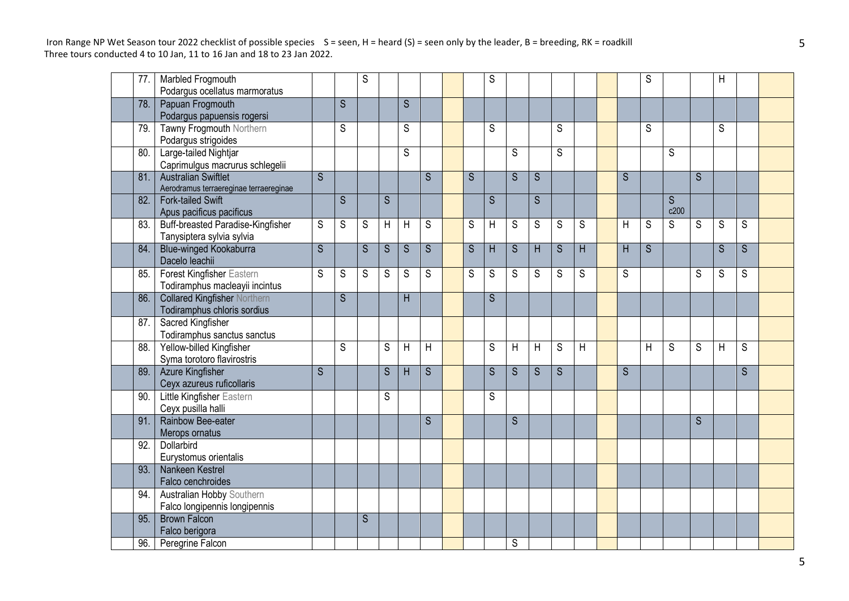| $\overline{77}$ . | Marbled Frogmouth                                                     |                         |                | S           |                |                |   |   | S              |                |                |                         |   |                         | S           |                |                | H |                |  |
|-------------------|-----------------------------------------------------------------------|-------------------------|----------------|-------------|----------------|----------------|---|---|----------------|----------------|----------------|-------------------------|---|-------------------------|-------------|----------------|----------------|---|----------------|--|
|                   | Podargus ocellatus marmoratus                                         |                         |                |             |                |                |   |   |                |                |                |                         |   |                         |             |                |                |   |                |  |
| 78.               | Papuan Frogmouth<br>Podargus papuensis rogersi                        |                         | $\overline{S}$ |             |                | $\overline{S}$ |   |   |                |                |                |                         |   |                         |             |                |                |   |                |  |
| 79.               | Tawny Frogmouth Northern                                              |                         | S              |             |                | S              |   |   | S              |                |                | S                       |   |                         | S           |                |                | S |                |  |
|                   | Podargus strigoides                                                   |                         |                |             |                |                |   |   |                |                |                |                         |   |                         |             |                |                |   |                |  |
| 80.               | Large-tailed Nightjar<br>Caprimulgus macrurus schlegelii              |                         |                |             |                | $\overline{S}$ |   |   |                | S              |                | $\overline{\mathsf{s}}$ |   |                         |             | S              |                |   |                |  |
| 81.               | <b>Australian Swiftlet</b><br>Aerodramus terraereginae terraereginae  | S                       |                |             |                |                | S | S |                | S              | S              |                         |   | S                       |             |                | S              |   |                |  |
| 82.               | <b>Fork-tailed Swift</b><br>Apus pacificus pacificus                  |                         | $\mathsf{S}$   |             | S              |                |   |   | S              |                | S              |                         |   |                         |             | S<br>c200      |                |   |                |  |
| 83.               | <b>Buff-breasted Paradise-Kingfisher</b><br>Tanysiptera sylvia sylvia | $\mathsf S$             | S              | $\mathsf S$ | $\overline{H}$ | $\overline{H}$ | S | S | $\sf H$        | $\mathbb S$    | $\overline{S}$ | $\mathsf S$             | S | $\overline{\mathsf{H}}$ | $\mathsf S$ | $\overline{S}$ | S              | S | S              |  |
| 84.               | <b>Blue-winged Kookaburra</b><br>Dacelo leachii                       | $\overline{S}$          |                | S           | S              | S              | S | S | H              | S              | H              | S                       | H | H                       | S           |                |                | S | <sub>S</sub>   |  |
| 85.               | Forest Kingfisher Eastern<br>Todiramphus macleayii incintus           | S                       | S              | S           | S              | S              | S | S | S              | S              | S              | S                       | S | S                       |             |                | S              | S | S              |  |
| 86.               | <b>Collared Kingfisher Northern</b><br>Todiramphus chloris sordius    |                         | S              |             |                | H              |   |   | S              |                |                |                         |   |                         |             |                |                |   |                |  |
| 87.               | Sacred Kingfisher<br>Todiramphus sanctus sanctus                      |                         |                |             |                |                |   |   |                |                |                |                         |   |                         |             |                |                |   |                |  |
| 88.               | Yellow-billed Kingfisher<br>Syma torotoro flavirostris                |                         | S              |             | $\overline{s}$ | $\overline{H}$ | H |   | $\overline{s}$ | $\overline{H}$ | H              | $\overline{S}$          | H |                         | H           | $\overline{s}$ | $\overline{s}$ | H | $\overline{s}$ |  |
| 89.               | Azure Kingfisher                                                      | $\overline{\mathsf{S}}$ |                |             | S              | H              | S |   | S              | S              |                | $\overline{S}$          |   | S                       |             |                |                |   |                |  |
|                   | Ceyx azureus ruficollaris                                             |                         |                |             |                |                |   |   |                |                | S              |                         |   |                         |             |                |                |   | <sub>S</sub>   |  |
| 90.               | Little Kingfisher Eastern<br>Ceyx pusilla halli                       |                         |                |             | S              |                |   |   | S              |                |                |                         |   |                         |             |                |                |   |                |  |
| 91.               | Rainbow Bee-eater<br>Merops ornatus                                   |                         |                |             |                |                | S |   |                | S              |                |                         |   |                         |             |                | S              |   |                |  |
| 92.               | Dollarbird<br>Eurystomus orientalis                                   |                         |                |             |                |                |   |   |                |                |                |                         |   |                         |             |                |                |   |                |  |
| 93.               | Nankeen Kestrel<br>Falco cenchroides                                  |                         |                |             |                |                |   |   |                |                |                |                         |   |                         |             |                |                |   |                |  |
| 94.               | <b>Australian Hobby Southern</b><br>Falco longipennis longipennis     |                         |                |             |                |                |   |   |                |                |                |                         |   |                         |             |                |                |   |                |  |
| 95.               | <b>Brown Falcon</b>                                                   |                         |                | S           |                |                |   |   |                |                |                |                         |   |                         |             |                |                |   |                |  |
|                   | Falco berigora                                                        |                         |                |             |                |                |   |   |                |                |                |                         |   |                         |             |                |                |   |                |  |
| 96.               | Peregrine Falcon                                                      |                         |                |             |                |                |   |   |                | S              |                |                         |   |                         |             |                |                |   |                |  |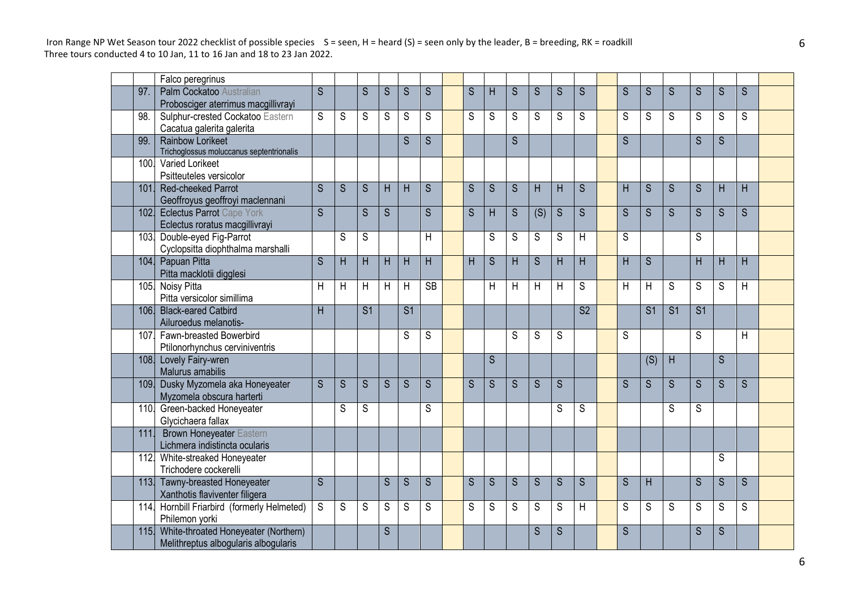|      | Falco peregrinus                         |                         |                |                 |                |                 |                         |   |              |                |                |                |                 |   |                 |                         |                |                |   |  |
|------|------------------------------------------|-------------------------|----------------|-----------------|----------------|-----------------|-------------------------|---|--------------|----------------|----------------|----------------|-----------------|---|-----------------|-------------------------|----------------|----------------|---|--|
| 97.  | Palm Cockatoo Australian                 | $\overline{\mathsf{S}}$ |                | S               | S              | S               | S                       | S | H            | S              | S              | S              | S               | S | S               | S                       | S              | S              | S |  |
|      | Probosciger aterrimus macgillivrayi      |                         |                |                 |                |                 |                         |   |              |                |                |                |                 |   |                 |                         |                |                |   |  |
| 98.  | Sulphur-crested Cockatoo Eastern         | S                       | S              | S               | S              | S               | S                       | S | S            | S              | S              | S              | S               | S | S               | S                       | S              | S              | S |  |
|      | Cacatua galerita galerita                |                         |                |                 |                |                 |                         |   |              |                |                |                |                 |   |                 |                         |                |                |   |  |
| 99.  | Rainbow Lorikeet                         |                         |                |                 |                | S               | $\overline{\mathsf{S}}$ |   |              | S              |                |                |                 | S |                 |                         | S              | $\overline{S}$ |   |  |
|      | Trichoglossus moluccanus septentrionalis |                         |                |                 |                |                 |                         |   |              |                |                |                |                 |   |                 |                         |                |                |   |  |
| 100. | Varied Lorikeet                          |                         |                |                 |                |                 |                         |   |              |                |                |                |                 |   |                 |                         |                |                |   |  |
|      | Psitteuteles versicolor                  |                         |                |                 |                |                 |                         |   |              |                |                |                |                 |   |                 |                         |                |                |   |  |
| 101. | Red-cheeked Parrot                       | S                       | S              | S               | H              | H               | S                       | S | S            | S              | H              | H              | S               | H | S               | S                       | S              | H              | H |  |
|      | Geoffroyus geoffroyi maclennani          |                         |                |                 |                |                 |                         |   |              |                |                |                |                 |   |                 |                         |                |                |   |  |
| 102. | <b>Eclectus Parrot Cape York</b>         | $\overline{\mathsf{s}}$ |                | $\overline{S}$  | $\overline{S}$ |                 | S                       | S | H            | S              | (S)            | $\overline{S}$ | S               | S | S               | $\overline{\mathsf{S}}$ | S              | S              | S |  |
|      | Eclectus roratus macgillivrayi           |                         |                |                 |                |                 |                         |   |              |                |                |                |                 |   |                 |                         |                |                |   |  |
| 103. | Double-eyed Fig-Parrot                   |                         | S              | ${\mathsf S}$   |                |                 | H                       |   | S            | S              | $\overline{s}$ | S              | H               | S |                 |                         | S              |                |   |  |
|      | Cyclopsitta diophthalma marshalli        |                         |                |                 |                |                 |                         |   |              |                |                |                |                 |   |                 |                         |                |                |   |  |
| 104. | Papuan Pitta                             | S                       | H              | H               | H              | H               | H                       | H | S            | H              | S              | H              | H               | H | S               |                         | H              | H              | H |  |
|      | Pitta macklotii digglesi                 |                         |                |                 |                |                 |                         |   |              |                |                |                |                 |   |                 |                         |                |                |   |  |
| 105. | Noisy Pitta                              | Η                       | Η              | H               | H              | H               | $\overline{\text{SB}}$  |   | H            | $\mathsf{H}$   | H              | H              | S               | H | H               | S                       | S              | S              | H |  |
|      | Pitta versicolor simillima               |                         |                |                 |                |                 |                         |   |              |                |                |                |                 |   |                 |                         |                |                |   |  |
| 106. | <b>Black-eared Catbird</b>               | H                       |                | $\overline{S1}$ |                | $\overline{S1}$ |                         |   |              |                |                |                | $\overline{S2}$ |   | $\overline{S1}$ | $\overline{S1}$         | S <sub>1</sub> |                |   |  |
|      | Ailuroedus melanotis-                    |                         |                |                 |                |                 |                         |   |              |                |                |                |                 |   |                 |                         |                |                |   |  |
| 107. | Fawn-breasted Bowerbird                  |                         |                |                 |                | S               | S                       |   |              | S              | S              | S              |                 | S |                 |                         | S              |                | H |  |
|      | Ptilonorhynchus cerviniventris           |                         |                |                 |                |                 |                         |   |              |                |                |                |                 |   |                 |                         |                |                |   |  |
| 108. | Lovely Fairy-wren                        |                         |                |                 |                |                 |                         |   | <sub>S</sub> |                |                |                |                 |   | (S)             | H                       |                | <sub>S</sub>   |   |  |
|      | Malurus amabilis                         |                         |                |                 |                |                 |                         |   |              |                |                |                |                 |   |                 |                         |                |                |   |  |
| 109. | Dusky Myzomela aka Honeyeater            | $\overline{\mathsf{S}}$ | $\overline{S}$ | $\overline{S}$  | $\overline{S}$ | $\overline{S}$  | $\overline{S}$          | S | S            | $\overline{S}$ | $\overline{S}$ | $\overline{S}$ |                 | S | S.              | S                       | $\overline{S}$ | $\overline{S}$ | S |  |
|      | Myzomela obscura harterti                |                         |                |                 |                |                 |                         |   |              |                |                |                |                 |   |                 |                         |                |                |   |  |
|      | 110. Green-backed Honeyeater             |                         | S              | S               |                |                 | S                       |   |              |                |                | S              | S               |   |                 | S                       | S              |                |   |  |
|      | Glycichaera fallax                       |                         |                |                 |                |                 |                         |   |              |                |                |                |                 |   |                 |                         |                |                |   |  |
| 111  | <b>Brown Honeyeater Eastern</b>          |                         |                |                 |                |                 |                         |   |              |                |                |                |                 |   |                 |                         |                |                |   |  |
|      | Lichmera indistincta ocularis            |                         |                |                 |                |                 |                         |   |              |                |                |                |                 |   |                 |                         |                |                |   |  |
| 112. | White-streaked Honeyeater                |                         |                |                 |                |                 |                         |   |              |                |                |                |                 |   |                 |                         |                | S              |   |  |
|      | Trichodere cockerelli                    |                         |                |                 |                |                 |                         |   |              |                |                |                |                 |   |                 |                         |                |                |   |  |
|      | 113. Tawny-breasted Honeyeater           | $\overline{S}$          |                |                 | S              | S               | S                       | S | S            | S              | $\overline{S}$ | $\overline{S}$ | S               | S | H               |                         | S              | S              | S |  |
|      | Xanthotis flaviventer filigera           |                         |                |                 |                |                 |                         |   |              |                |                |                |                 |   |                 |                         |                |                |   |  |
| 114. | Hornbill Friarbird (formerly Helmeted)   | S                       | S              | S               | S              | S               | S                       | S | S            | S              | S              | S              | H               | S | S               | S                       | S              | S              | S |  |
|      | Philemon yorki                           |                         |                |                 |                |                 |                         |   |              |                |                |                |                 |   |                 |                         |                |                |   |  |
| 115. | White-throated Honeyeater (Northern)     |                         |                |                 | S              |                 |                         |   |              |                | S              | $\overline{S}$ |                 | S |                 |                         | S              | S              |   |  |
|      | Melithreptus albogularis albogularis     |                         |                |                 |                |                 |                         |   |              |                |                |                |                 |   |                 |                         |                |                |   |  |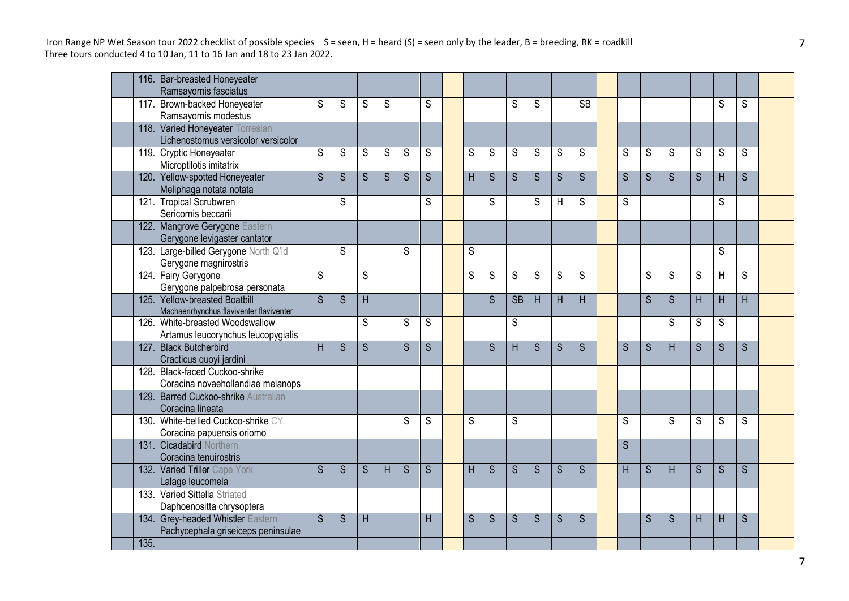|      | 116. Bar-breasted Honeyeater                       |                         |   |                         |                |   |                |   |   |                        |                |                |                 |                |                |   |                |                |   |  |
|------|----------------------------------------------------|-------------------------|---|-------------------------|----------------|---|----------------|---|---|------------------------|----------------|----------------|-----------------|----------------|----------------|---|----------------|----------------|---|--|
|      | Ramsayornis fasciatus                              |                         |   |                         |                |   |                |   |   |                        |                |                |                 |                |                |   |                |                |   |  |
| 117. | Brown-backed Honeyeater<br>Ramsayornis modestus    | S                       | S | S                       | $\overline{S}$ |   | $\overline{s}$ |   |   | S                      | S              |                | $\overline{SB}$ |                |                |   |                | S              | S |  |
|      | 118. Varied Honeyeater Torresian                   |                         |   |                         |                |   |                |   |   |                        |                |                |                 |                |                |   |                |                |   |  |
|      | Lichenostomus versicolor versicolor                |                         |   |                         |                |   |                |   |   |                        |                |                |                 |                |                |   |                |                |   |  |
| 119. | <b>Cryptic Honeyeater</b>                          | S                       | S | S                       | $\overline{S}$ | S | $\overline{s}$ | S | S | $\overline{s}$         | $\overline{s}$ | S              | S               | S              | S              | S | $\overline{S}$ | $\overline{S}$ | S |  |
|      | Microptilotis imitatrix                            |                         |   |                         |                |   |                |   |   |                        |                |                |                 |                |                |   |                |                |   |  |
|      | 120. Yellow-spotted Honeyeater                     | S                       | S | S                       | S              | S | S              | H | S | S                      | S              | S              | S               | S              | S              | S | S              | H              | S |  |
|      | Meliphaga notata notata                            |                         |   |                         |                |   |                |   |   |                        |                |                |                 |                |                |   |                |                |   |  |
| 121. | <b>Tropical Scrubwren</b>                          |                         | S |                         |                |   | S              |   | S |                        | S              | Н              | S               | S              |                |   |                | S              |   |  |
|      | Sericornis beccarii                                |                         |   |                         |                |   |                |   |   |                        |                |                |                 |                |                |   |                |                |   |  |
| 122. | Mangrove Gerygone Eastern                          |                         |   |                         |                |   |                |   |   |                        |                |                |                 |                |                |   |                |                |   |  |
|      | Gerygone levigaster cantator                       |                         |   |                         |                |   |                |   |   |                        |                |                |                 |                |                |   |                |                |   |  |
| 123. | Large-billed Gerygone North Q'ld                   |                         | S |                         |                | S |                | S |   |                        |                |                |                 |                |                |   |                | S              |   |  |
|      | Gerygone magnirostris<br>124. Fairy Gerygone       | S                       |   | S                       |                |   |                | S | S | S                      | S              | S              | S               |                | S              | S | S              | H              | S |  |
|      | Gerygone palpebrosa personata                      |                         |   |                         |                |   |                |   |   |                        |                |                |                 |                |                |   |                |                |   |  |
| 125. | <b>Yellow-breasted Boatbill</b>                    | $\overline{\mathsf{s}}$ | S | $\overline{\mathsf{H}}$ |                |   |                |   | S | $\overline{\text{SB}}$ | H              | H              | $\overline{H}$  |                | $\overline{S}$ | S | H              | H              | H |  |
|      | Machaerirhynchus flaviventer flaviventer           |                         |   |                         |                |   |                |   |   |                        |                |                |                 |                |                |   |                |                |   |  |
| 126. | White-breasted Woodswallow                         |                         |   | S                       |                | S | S              |   |   | S                      |                |                |                 |                |                | S | S              | S              |   |  |
|      | Artamus leucorynchus leucopygialis                 |                         |   |                         |                |   |                |   |   |                        |                |                |                 |                |                |   |                |                |   |  |
| 127. | <b>Black Butcherbird</b>                           | H                       | S | S.                      |                | S | $\overline{S}$ |   | S | H                      | $\overline{S}$ | $\overline{S}$ | $\overline{S}$  | $\overline{S}$ | S              | H | $\overline{S}$ | S              | S |  |
|      | Cracticus quoyi jardini                            |                         |   |                         |                |   |                |   |   |                        |                |                |                 |                |                |   |                |                |   |  |
| 128. | <b>Black-faced Cuckoo-shrike</b>                   |                         |   |                         |                |   |                |   |   |                        |                |                |                 |                |                |   |                |                |   |  |
|      | Coracina novaehollandiae melanops                  |                         |   |                         |                |   |                |   |   |                        |                |                |                 |                |                |   |                |                |   |  |
| 129  | Barred Cuckoo-shrike Australian                    |                         |   |                         |                |   |                |   |   |                        |                |                |                 |                |                |   |                |                |   |  |
| 130. | Coracina lineata<br>White-bellied Cuckoo-shrike CY |                         |   |                         |                | S | S              | S |   | S                      |                |                |                 | S              |                | S | S              | S              | S |  |
|      | Coracina papuensis oriomo                          |                         |   |                         |                |   |                |   |   |                        |                |                |                 |                |                |   |                |                |   |  |
| 131  | <b>Cicadabird Northern</b>                         |                         |   |                         |                |   |                |   |   |                        |                |                |                 | S              |                |   |                |                |   |  |
|      | Coracina tenuirostris                              |                         |   |                         |                |   |                |   |   |                        |                |                |                 |                |                |   |                |                |   |  |
| 132. | Varied Triller Cape York                           | S                       | S | S                       | H              | S | $\overline{S}$ | H | S | $\overline{S}$         | S              | S              | S               | H              | S              | H | S              | S              | S |  |
|      | Lalage leucomela                                   |                         |   |                         |                |   |                |   |   |                        |                |                |                 |                |                |   |                |                |   |  |
| 133. | Varied Sittella Striated                           |                         |   |                         |                |   |                |   |   |                        |                |                |                 |                |                |   |                |                |   |  |
|      | Daphoenositta chrysoptera                          |                         |   |                         |                |   |                |   |   |                        |                |                |                 |                |                |   |                |                |   |  |
| 134. | <b>Grey-headed Whistler Eastern</b>                | $\overline{S}$          | S | H                       |                |   | H              | S | S | $\overline{S}$         | S              | $\overline{S}$ | S               |                | S              | S | H              | H              | S |  |
|      | Pachycephala griseiceps peninsulae                 |                         |   |                         |                |   |                |   |   |                        |                |                |                 |                |                |   |                |                |   |  |
| 135. |                                                    |                         |   |                         |                |   |                |   |   |                        |                |                |                 |                |                |   |                |                |   |  |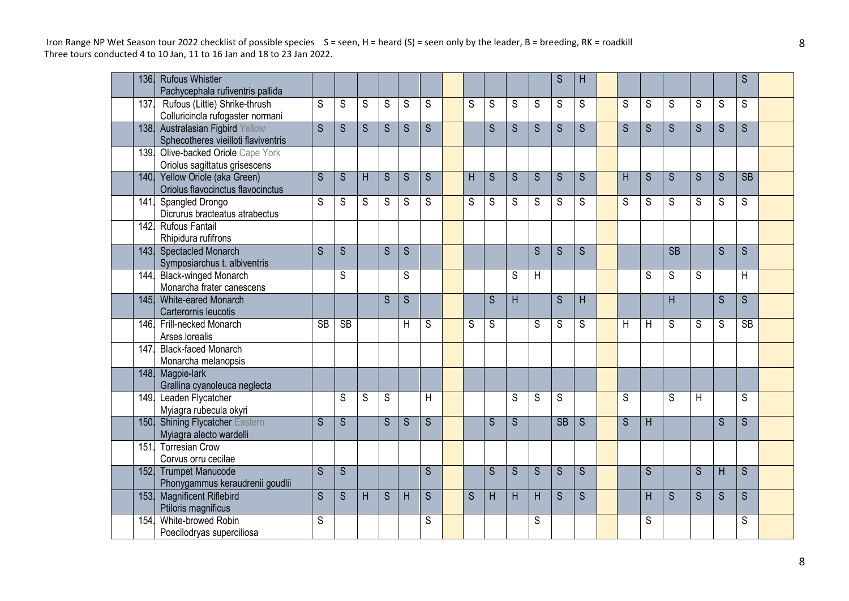| <b>136.</b> | <b>Rufous Whistler</b><br>Pachycephala rufiventris pallida                |           |           |   |   |             |   |   |             |                |                | S              | H            |   |   |             |   |   | S         |  |
|-------------|---------------------------------------------------------------------------|-----------|-----------|---|---|-------------|---|---|-------------|----------------|----------------|----------------|--------------|---|---|-------------|---|---|-----------|--|
| 137.        | Rufous (Little) Shrike-thrush<br>Colluricincla rufogaster normani         | S         | S         | S | S | $\mathsf S$ | S | S | $\mathsf S$ | S              | $\mathsf S$    | S              | S            | S | S | S           | S | S | S         |  |
| 138.        | <b>Australasian Figbird Yellow</b><br>Sphecotheres vieilloti flaviventris | S         | S         | S | S | S           | S |   | S           | $\overline{S}$ | S              | S              | S            | S | S | S           | S | S | S         |  |
|             | 139. Olive-backed Oriole Cape York<br>Oriolus sagittatus grisescens       |           |           |   |   |             |   |   |             |                |                |                |              |   |   |             |   |   |           |  |
|             | 140. Yellow Oriole (aka Green)<br>Oriolus flavocinctus flavocinctus       | S         | S         | H | S | S           | S | H | S           | $\overline{S}$ | $\overline{S}$ | $\overline{S}$ | S            | H | S | S           | S | S | <b>SB</b> |  |
| 141.        | Spangled Drongo<br>Dicrurus bracteatus atrabectus                         | S         | S         | S | S | S           | S | S | S           | S              | S              | S              | S            | S | S | S           | S | S | S         |  |
|             | 142. Rufous Fantail<br>Rhipidura rufifrons                                |           |           |   |   |             |   |   |             |                |                |                |              |   |   |             |   |   |           |  |
|             | 143. Spectacled Monarch<br>Symposiarchus t. albiventris                   | S         | S         |   | S | S           |   |   |             |                | S              | S              | S.           |   |   | <b>SB</b>   |   | S | S         |  |
| 144.        | <b>Black-winged Monarch</b><br>Monarcha frater canescens                  |           | S         |   |   | S           |   |   |             | S              | H              |                |              |   | S | S           | S |   | H         |  |
| 145.        | White-eared Monarch<br>Carterornis leucotis                               |           |           |   | S | S           |   |   | S           | H              |                | $\overline{S}$ | H            |   |   | H           |   | S | S         |  |
|             | 146. Frill-necked Monarch<br>Arses lorealis                               | <b>SB</b> | <b>SB</b> |   |   | H           | S | S | S           |                | S              | S              | S            | H | H | $\mathbb S$ | S | S | <b>SB</b> |  |
| 147.        | <b>Black-faced Monarch</b><br>Monarcha melanopsis                         |           |           |   |   |             |   |   |             |                |                |                |              |   |   |             |   |   |           |  |
| 148.        | Magpie-lark<br>Grallina cyanoleuca neglecta                               |           |           |   |   |             |   |   |             |                |                |                |              |   |   |             |   |   |           |  |
| 149.        | Leaden Flycatcher<br>Myiagra rubecula okyri                               |           | S         | S | S |             | H |   |             | S              | S              | S              |              | S |   | S           | H |   | S         |  |
| 150.        | <b>Shining Flycatcher Eastern</b><br>Myiagra alecto wardelli              | S         | S         |   | S | S           | S |   | S           | $\overline{S}$ |                | <b>SB</b>      | <sub>S</sub> | S | H |             |   | S | S         |  |
| 151.        | <b>Torresian Crow</b><br>Corvus orru cecilae                              |           |           |   |   |             |   |   |             |                |                |                |              |   |   |             |   |   |           |  |
|             | 152. Trumpet Manucode<br>Phonygammus keraudrenii goudlii                  | S         | S         |   |   |             | S |   | S           | S              | S              | S              | S            |   | S |             | S | H | S         |  |
| 153.        | <b>Magnificent Riflebird</b><br>Ptiloris magnificus                       | S         | S         | H | S | H           | S | S | H           | H              | H              | S              | S            |   | H | S           | S | S | S         |  |
| 154.        | White-browed Robin<br>Poecilodryas superciliosa                           | S         |           |   |   |             | S |   |             |                | S              |                |              |   | S |             |   |   | S         |  |